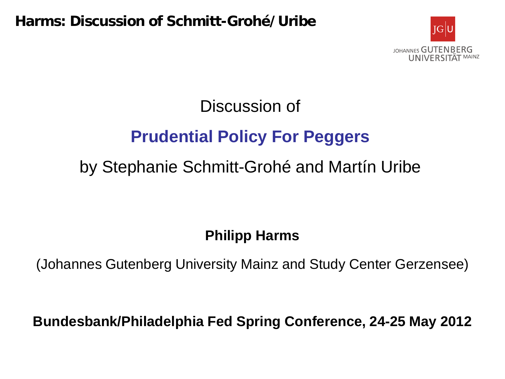

# Discussion of **Prudential Policy For Peggers** by Stephanie Schmitt-Grohé and Martín Uribe

#### **Philipp Harms**

(Johannes Gutenberg University Mainz and Study Center Gerzensee)

**Bundesbank/Philadelphia Fed Spring Conference, 24-25 May 2012**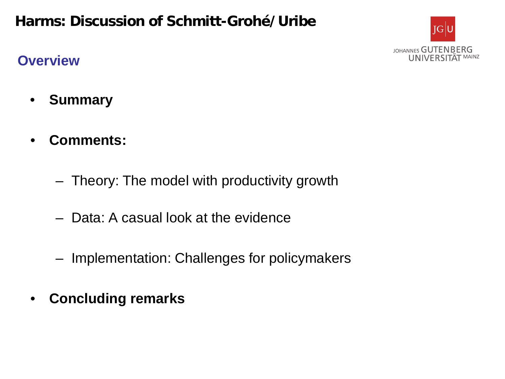#### **Overview**



- **Summary**
- **Comments:**
	- Theory: The model with productivity growth
	- Data: A casual look at the evidence
	- Implementation: Challenges for policymakers
- **Concluding remarks**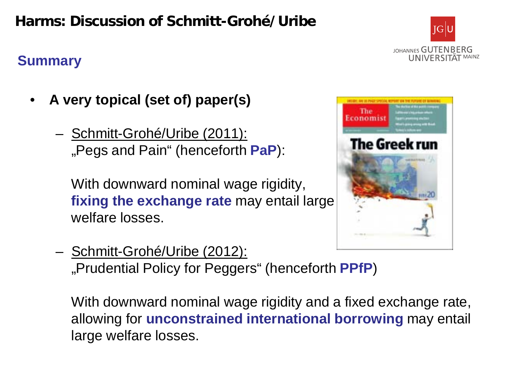## **Summary**



- **A very topical (set of) paper(s)**
	- Schmitt-Grohé/Uribe (2011): "Pegs and Pain" (henceforth **PaP**):

With downward nominal wage rigidity, **fixing the exchange rate** may entail large welfare losses.



– Schmitt-Grohé/Uribe (2012): "Prudential Policy for Peggers" (henceforth **PPfP**)

With downward nominal wage rigidity and a fixed exchange rate, allowing for **unconstrained international borrowing** may entail large welfare losses.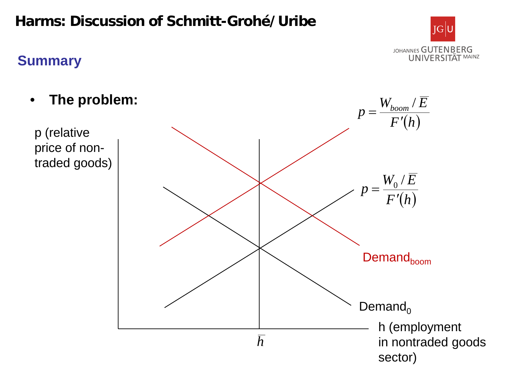## **Summary**

• **The problem:** p (relative price of nontraded goods) h (employment in nontraded goods *h F* (*h*)  $W_{\text{boom}}$  /  $\overline{E}$  $p = \frac{W_{\text{boom}}}{F}$ ′ = / *F* (*h*)  $W_{\rm o}$  /  $\overline{E}$  $p = \frac{W_0}{F'}$  $_{0}^{\prime}$  / Demand $_0$ Demand<sub>boom</sub>



sector)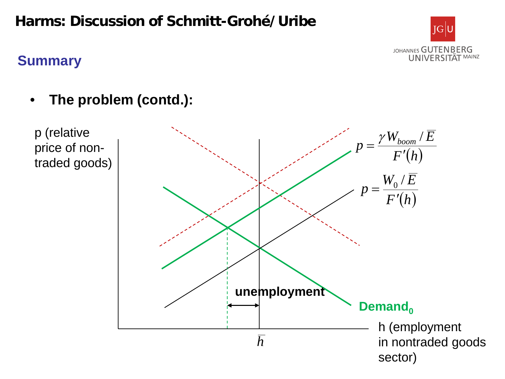

#### **Summary**

• **The problem (contd.):**

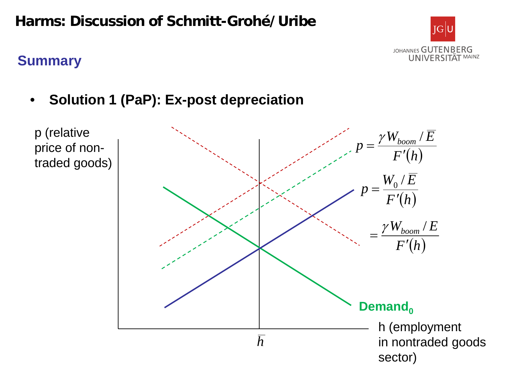

#### **Summary**

• **Solution 1 (PaP): Ex-post depreciation**

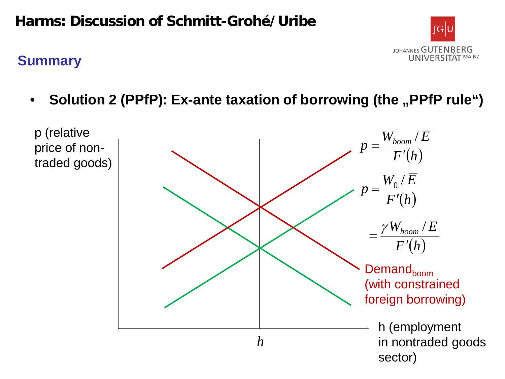#### **Summary**



• Solution 2 (PPfP): Ex-ante taxation of borrowing (the "PPfP rule")

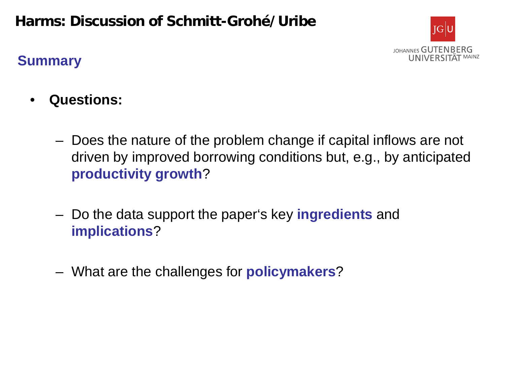

#### **Summary**

- **Questions:**
	- Does the nature of the problem change if capital inflows are not driven by improved borrowing conditions but, e.g., by anticipated **productivity growth**?
	- Do the data support the paper's key **ingredients** and **implications**?
	- What are the challenges for **policymakers**?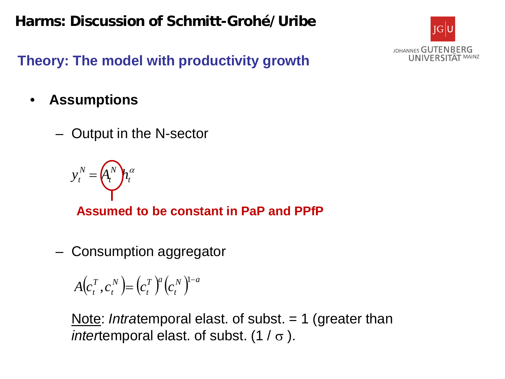

**Theory: The model with productivity growth**

- **Assumptions**
	- Output in the N-sector



**Assumed to be constant in PaP and PPfP**

– Consumption aggregator

 $(c_{t}^{T}, c_{t}^{N}) = (c_{t}^{T})^{a} (c_{t}^{N})^{1-a}$  $T \nvert a$ *t N t*  $A(c_t^T, c_t^N) = (c_t^T)^a (c_t^N)^{1-a}$ 

Note: *Intratemporal elast.* of subst. = 1 (greater than *inter*temporal elast. of subst.  $(1 / \sigma)$ .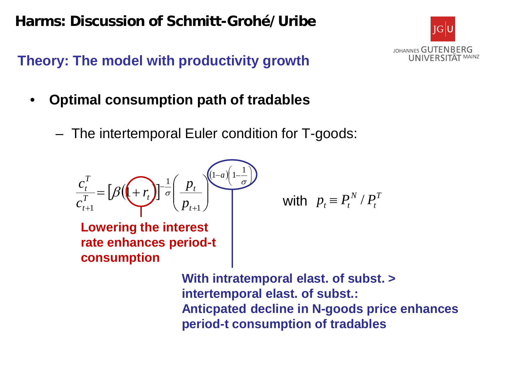

**Theory: The model with productivity growth**

- **Optimal consumption path of tradables**
	- The intertemporal Euler condition for T-goods:



**Lowering the interest rate enhances period-t consumption**

with 
$$
p_t \equiv P_t^N / P_t^T
$$

**With intratemporal elast. of subst. > intertemporal elast. of subst.: Anticpated decline in N-goods price enhances period-t consumption of tradables**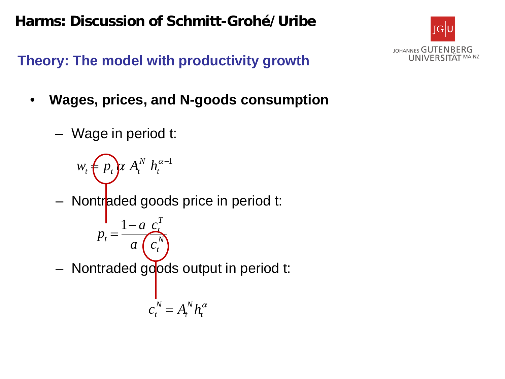

**Theory: The model with productivity growth**

- **Wages, prices, and N-goods consumption**
	- Wage in period t:

– Nontraded goods price in period t: – Nontraded goods output in period t:  $w_t \n\in p_t$   $\alpha A_t^N h_t^{\alpha-1}$ *N t T t*  $a^t$ <sup>-</sup>  $a(c)$ *c a*  $p_t = \frac{1-a}{2}$ α *t N t*  $c_t^N = A_t^N h_t$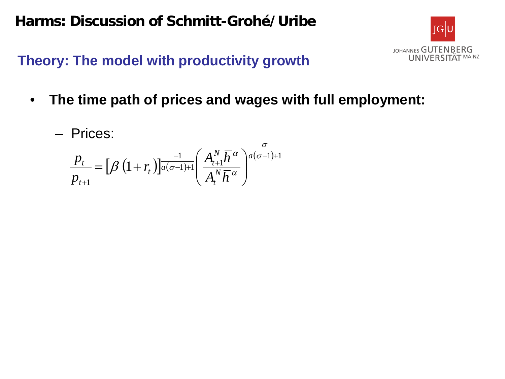

**Theory: The model with productivity growth**

- **The time path of prices and wages with full employment:**
	- Prices:

$$
\frac{p_t}{p_{t+1}} = \left[\beta \left(1 + r_t\right)\right]_a^{\frac{-1}{a(\sigma-1)+1}} \left(\frac{A_{t+1}^N \overline{h}^{\alpha}}{A_t^N \overline{h}^{\alpha}}\right)^{\frac{\sigma}{a(\sigma-1)+1}}
$$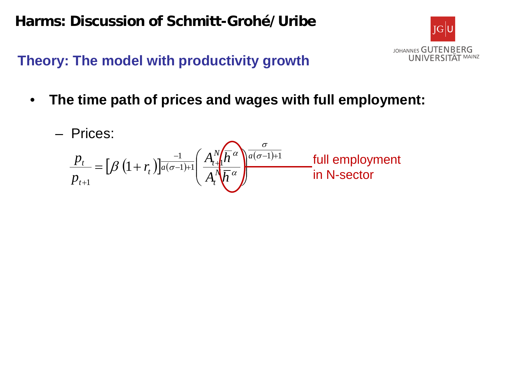

**Theory: The model with productivity growth**

• **The time path of prices and wages with full employment:**

$$
\frac{p_t}{p_{t+1}} = \left[\beta \left(1 + r_t\right)\right]_a \frac{1}{a(\sigma-1)+1} \left(\frac{A_t^N \sqrt{h}^{\alpha}}{A_t^N \sqrt{h}^{\alpha}}\right)^{\frac{\sigma}{a(\sigma-1)+1}} \frac{\text{full employment}}{\text{in N-sector}}
$$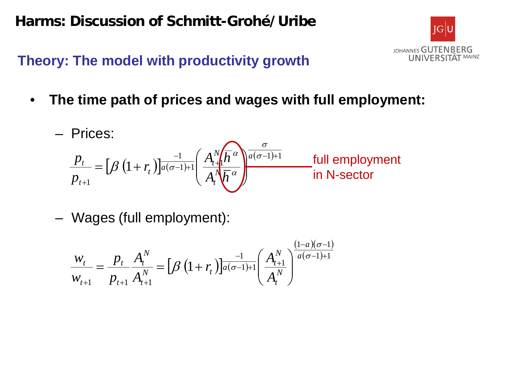

## **Theory: The model with productivity growth**

• **The time path of prices and wages with full employment:**

$$
\text{Prices:} \\
\frac{p_t}{p_{t+1}} = \left[\beta \left(1 + r_t\right) \right]_{a(\sigma-1)+1}^{-1} \left(\frac{A_t^N \sqrt{h}^{\sigma}}{A_t^N \sqrt{h}^{\sigma}}\right)^{\frac{\sigma}{a(\sigma-1)+1}} \quad \text{full employment in N-sector}
$$

– Wages (full employment):

$$
\frac{W_t}{W_{t+1}} = \frac{P_t}{P_{t+1}} \frac{A_t^N}{A_{t+1}^N} = \left[\beta \left(1 + r_t\right) \right]_{a(\sigma-1)+1}^{-1} \left(\frac{A_{t+1}^N}{A_t^N}\right)^{\frac{(1-a)(\sigma-1)}{a(\sigma-1)+1}}
$$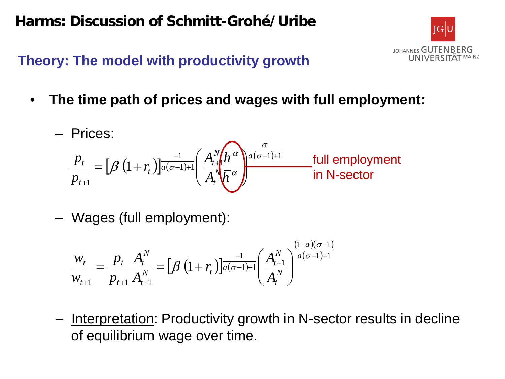

## **Theory: The model with productivity growth**

• **The time path of prices and wages with full employment:**

$$
\text{Prices:} \\
\frac{p_t}{p_{t+1}} = \left[\beta \left(1 + r_t\right) \right]_{a(\sigma-1)+1}^{-1} \left(\frac{A_t^N \sqrt{h}^{\sigma}}{A_t^N \sqrt{h}^{\sigma}}\right)^{\frac{\sigma}{a(\sigma-1)+1}} \text{ full employment in N-sector}
$$

– Wages (full employment):

$$
\frac{W_t}{W_{t+1}} = \frac{p_t}{p_{t+1}} \frac{A_t^N}{A_{t+1}^N} = \left[\beta \left(1 + r_t\right) \right]_{a(\sigma-1)+1}^{-1} \left(\frac{A_{t+1}^N}{A_t^N}\right)^{\frac{(1-a)(\sigma-1)}{a(\sigma-1)+1}}
$$

– Interpretation: Productivity growth in N-sector results in decline of equilibrium wage over time.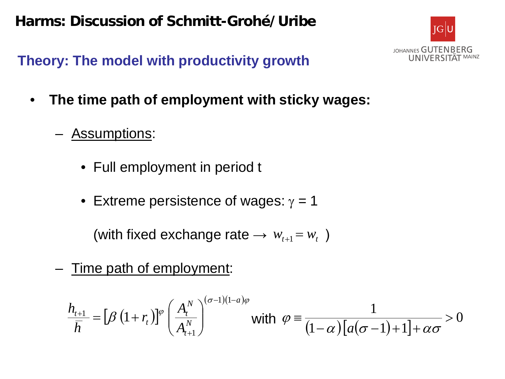

**Theory: The model with productivity growth**

- **The time path of employment with sticky wages:**
	- Assumptions:
		- Full employment in period t
		- Extreme persistence of wages:  $\gamma = 1$

(with fixed exchange rate  $\rightarrow w_{t+1} = w_t$ )

– Time path of employment:

$$
\frac{h_{t+1}}{\overline{h}} = \left[\beta \left(1 + r_t\right)\right]^{\varphi} \left(\frac{A_t^N}{A_{t+1}^N}\right)^{(\sigma-1)(1-a)\varphi} \text{ with } \varphi = \frac{1}{(1-\alpha)\left[a(\sigma-1)+1\right]+\alpha\sigma} > 0
$$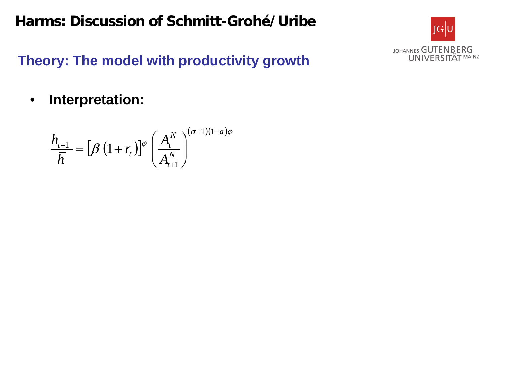

**Theory: The model with productivity growth**

• **Interpretation:**

$$
\frac{h_{t+1}}{\overline{h}} = \left[\beta \left(1 + r_t\right)\right]^{\varphi} \left(\frac{A_t^N}{A_{t+1}^N}\right)^{(\sigma-1)(1-a)\varphi}
$$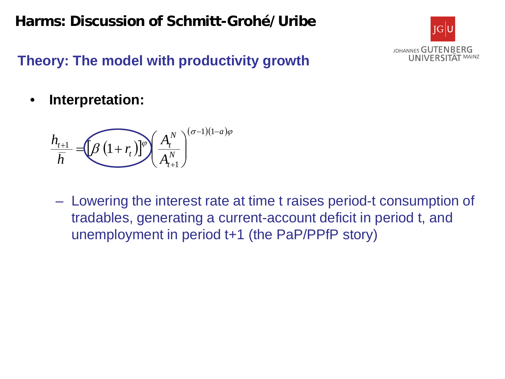

## **Theory: The model with productivity growth**

• **Interpretation:**

$$
\frac{h_{t+1}}{\overline{h}} = \underbrace{\left(\beta \left(1+r_t\right)\right]^{\varphi}}_{H_{t+1}} \left(\frac{A_t^N}{A_{t+1}^N}\right)^{(\sigma-1)(1-a)\varphi}
$$

– Lowering the interest rate at time t raises period-t consumption of tradables, generating a current-account deficit in period t, and unemployment in period t+1 (the PaP/PPfP story)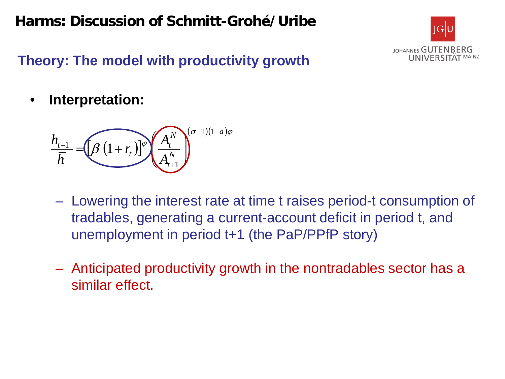

## **Theory: The model with productivity growth**

• **Interpretation:**

$$
\frac{h_{t+1}}{h} = \left[\beta \left(1+r_{t}\right)\right]^{\varphi} \left(\frac{A_t^N}{A_{t+1}^N}\right)^{(\sigma-1)(1-a)\varphi}
$$

- Lowering the interest rate at time t raises period-t consumption of tradables, generating a current-account deficit in period t, and unemployment in period t+1 (the PaP/PPfP story)
- Anticipated productivity growth in the nontradables sector has a similar effect.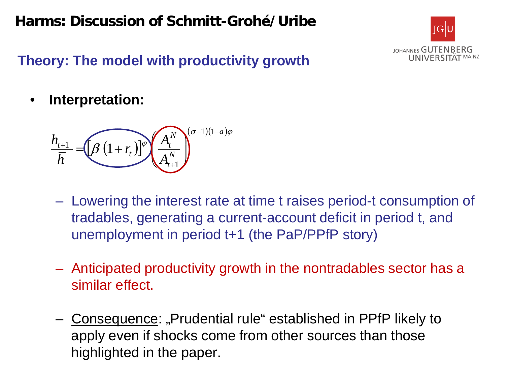

## **Theory: The model with productivity growth**

• **Interpretation:**

$$
\frac{h_{t+1}}{h} = \left[\beta \left(1+r_{t}\right)\right]^{\varphi} \left(\frac{A_t^N}{A_{t+1}^N}\right)^{(\sigma-1)(1-a)\varphi}
$$

- Lowering the interest rate at time t raises period-t consumption of tradables, generating a current-account deficit in period t, and unemployment in period t+1 (the PaP/PPfP story)
- Anticipated productivity growth in the nontradables sector has a similar effect.
- Consequence: "Prudential rule" established in PPfP likely to apply even if shocks come from other sources than those highlighted in the paper.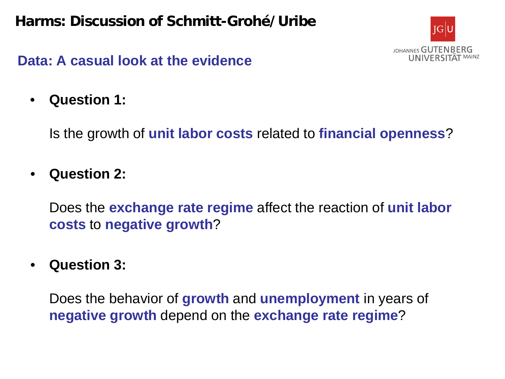

• **Question 1:** 

Is the growth of **unit labor costs** related to **financial openness**?

• **Question 2:**

Does the **exchange rate regime** affect the reaction of **unit labor costs** to **negative growth**?

• **Question 3:**

Does the behavior of **growth** and **unemployment** in years of **negative growth** depend on the **exchange rate regime**?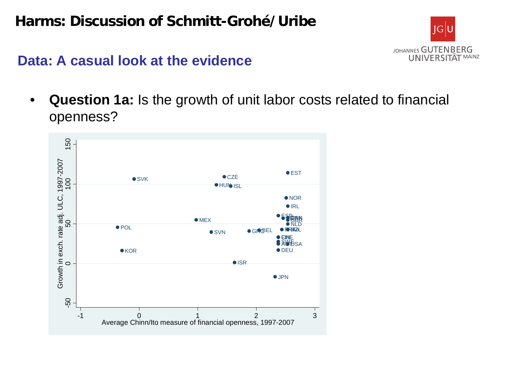

• **Question 1a:** Is the growth of unit labor costs related to financial openness?

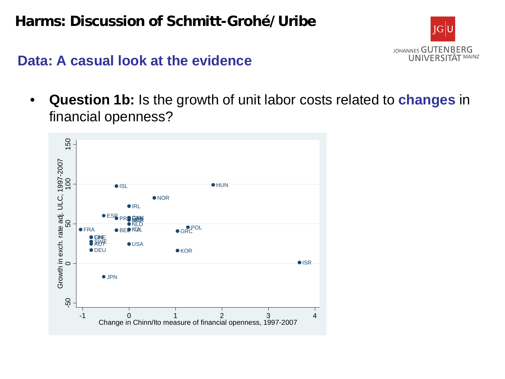

#### **Data: A casual look at the evidence**

• **Question 1b:** Is the growth of unit labor costs related to **changes** in financial openness?

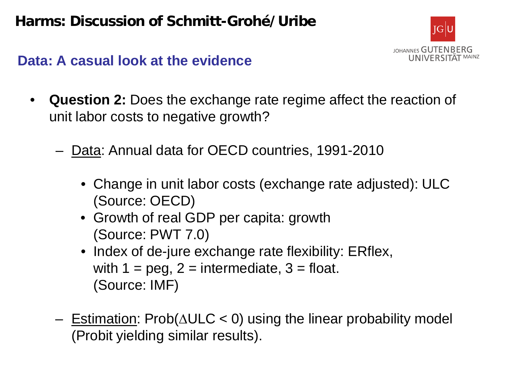

- **Question 2:** Does the exchange rate regime affect the reaction of unit labor costs to negative growth?
	- Data: Annual data for OECD countries, 1991-2010
		- Change in unit labor costs (exchange rate adjusted): ULC (Source: OECD)
		- Growth of real GDP per capita: growth (Source: PWT 7.0)
		- Index of de-jure exchange rate flexibility: ERflex, with  $1 = \text{peg}, 2 = \text{intermediate}, 3 = \text{float}.$ (Source: IMF)
	- Estimation: Prob(∆ULC < 0) using the linear probability model (Probit yielding similar results).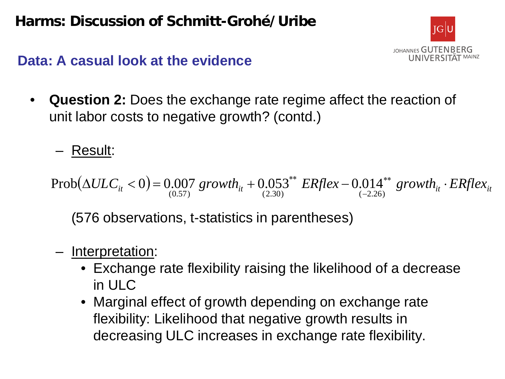

- **Question 2:** Does the exchange rate regime affect the reaction of unit labor costs to negative growth? (contd.)
	- Result:

 $(\Delta ULC_{it} < 0) = 0.007$  growth<sub>it</sub>  $+ 0.053^{**}$  *ERflex*  $- 0.014^{**}$  growth<sub>it</sub>  $\cdot$  *ERflex*<sub>it</sub>  $(0.57)$   $\qquad \qquad (2.30)$   $(-2.26)$  $Prob(\Delta ULC_{it} < 0) = 0.007$  growth<sub>it</sub> + 0.053<sup>\*\*</sup> *ERflex* – 0.014

(576 observations, t-statistics in parentheses)

- Interpretation:
	- Exchange rate flexibility raising the likelihood of a decrease in ULC
	- Marginal effect of growth depending on exchange rate flexibility: Likelihood that negative growth results in decreasing ULC increases in exchange rate flexibility.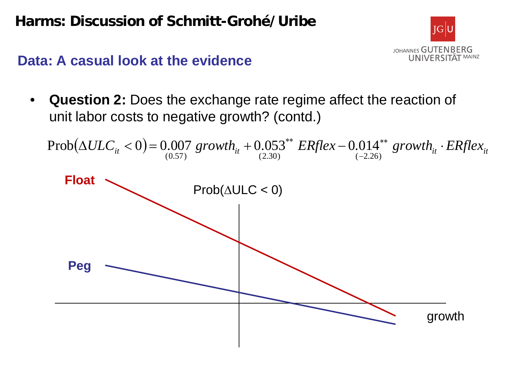

• **Question 2:** Does the exchange rate regime affect the reaction of unit labor costs to negative growth? (contd.)

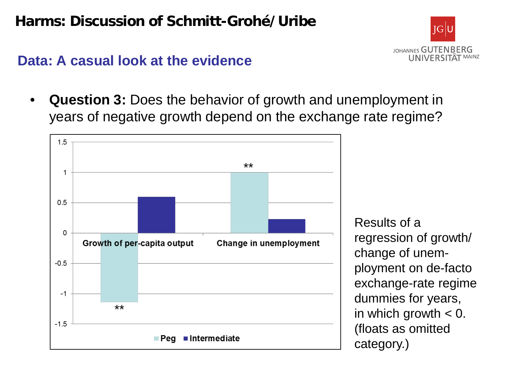

#### **Data: A casual look at the evidence**

• **Question 3:** Does the behavior of growth and unemployment in years of negative growth depend on the exchange rate regime?



Results of a regression of growth/ change of unemployment on de-facto exchange-rate regime dummies for years, in which growth  $< 0$ . (floats as omitted category.)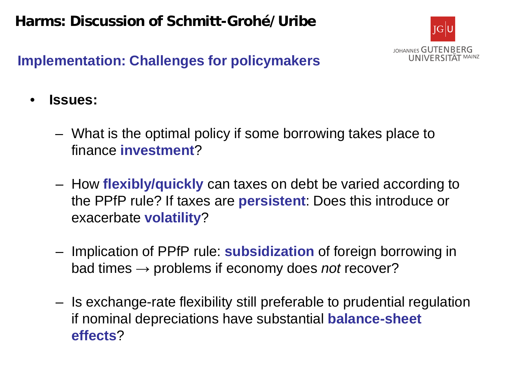

## **Implementation: Challenges for policymakers**

- **Issues:**
	- What is the optimal policy if some borrowing takes place to finance **investment**?
	- How **flexibly/quickly** can taxes on debt be varied according to the PPfP rule? If taxes are **persistent**: Does this introduce or exacerbate **volatility**?
	- Implication of PPfP rule: **subsidization** of foreign borrowing in bad times → problems if economy does *not* recover?
	- Is exchange-rate flexibility still preferable to prudential regulation if nominal depreciations have substantial **balance-sheet effects**?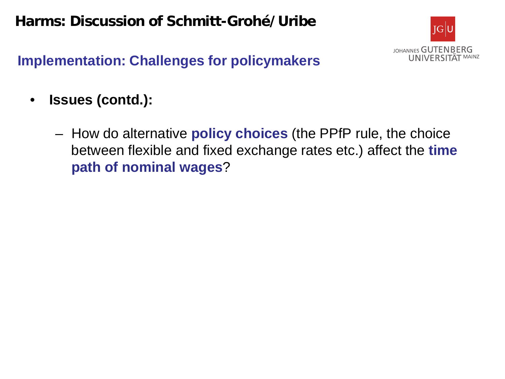

## **Implementation: Challenges for policymakers**

- **Issues (contd.):**
	- How do alternative **policy choices** (the PPfP rule, the choice between flexible and fixed exchange rates etc.) affect the **time path of nominal wages**?